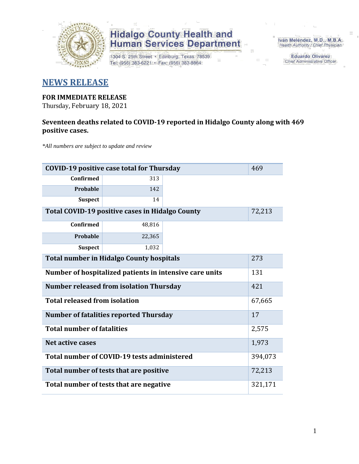

1304 S. 25th Street · Edinburg, Texas 78539 Tel: (956) 383-6221 · Fax: (956) 383-8864

Iván Meléndez, M.D., M.B.A. Health Authority / Chief Physician

**Eduardo Olivarez** Chief Administrative Officer

### **NEWS RELEASE**

#### **FOR IMMEDIATE RELEASE**

Thursday, February 18, 2021

### **Seventeen deaths related to COVID-19 reported in Hidalgo County along with 469 positive cases.**

*\*All numbers are subject to update and review*

| 469<br><b>COVID-19 positive case total for Thursday</b>          |                                               |  |         |  |  |  |  |  |  |  |
|------------------------------------------------------------------|-----------------------------------------------|--|---------|--|--|--|--|--|--|--|
| Confirmed                                                        | 313                                           |  |         |  |  |  |  |  |  |  |
| Probable                                                         | 142                                           |  |         |  |  |  |  |  |  |  |
| <b>Suspect</b>                                                   | 14                                            |  |         |  |  |  |  |  |  |  |
| <b>Total COVID-19 positive cases in Hidalgo County</b><br>72,213 |                                               |  |         |  |  |  |  |  |  |  |
| <b>Confirmed</b>                                                 | 48,816                                        |  |         |  |  |  |  |  |  |  |
| Probable                                                         | 22,365                                        |  |         |  |  |  |  |  |  |  |
| <b>Suspect</b>                                                   | 1,032                                         |  |         |  |  |  |  |  |  |  |
| <b>Total number in Hidalgo County hospitals</b>                  |                                               |  |         |  |  |  |  |  |  |  |
| Number of hospitalized patients in intensive care units          | 131                                           |  |         |  |  |  |  |  |  |  |
| 421<br><b>Number released from isolation Thursday</b>            |                                               |  |         |  |  |  |  |  |  |  |
| <b>Total released from isolation</b>                             |                                               |  | 67,665  |  |  |  |  |  |  |  |
|                                                                  | <b>Number of fatalities reported Thursday</b> |  | 17      |  |  |  |  |  |  |  |
| <b>Total number of fatalities</b>                                |                                               |  | 2,575   |  |  |  |  |  |  |  |
| <b>Net active cases</b>                                          |                                               |  | 1,973   |  |  |  |  |  |  |  |
|                                                                  | Total number of COVID-19 tests administered   |  | 394,073 |  |  |  |  |  |  |  |
|                                                                  | Total number of tests that are positive       |  | 72,213  |  |  |  |  |  |  |  |
| Total number of tests that are negative                          | 321,171                                       |  |         |  |  |  |  |  |  |  |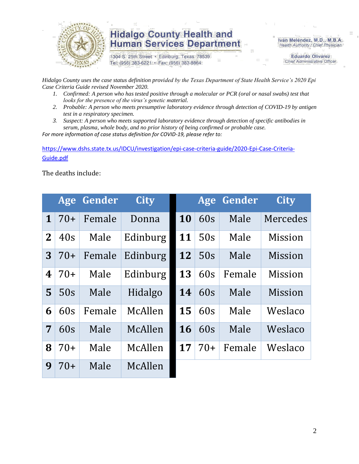

1304 S. 25th Street · Edinburg, Texas 78539 Tel: (956) 383-6221 · Fax: (956) 383-8864

Iván Meléndez, M.D., M.B.A. Health Authority / Chief Physician

> **Eduardo Olivarez** Chief Administrative Officer

*Hidalgo County uses the case status definition provided by the Texas Department of State Health Service's 2020 Epi Case Criteria Guide revised November 2020.*

- *1. Confirmed: A person who has tested positive through a molecular or PCR (oral or nasal swabs) test that looks for the presence of the virus's genetic material.*
- *2. Probable: A person who meets presumptive laboratory evidence through detection of COVID-19 by antigen test in a respiratory specimen.*
- *3. Suspect: A person who meets supported laboratory evidence through detection of specific antibodies in serum, plasma, whole body, and no prior history of being confirmed or probable case.*

*For more information of case status definition for COVID-19, please refer to:*

[https://www.dshs.state.tx.us/IDCU/investigation/epi-case-criteria-guide/2020-Epi-Case-Criteria-](https://www.dshs.state.tx.us/IDCU/investigation/epi-case-criteria-guide/2020-Epi-Case-Criteria-Guide.pdf)[Guide.pdf](https://www.dshs.state.tx.us/IDCU/investigation/epi-case-criteria-guide/2020-Epi-Case-Criteria-Guide.pdf)

The deaths include:

|              | Age   | Gender | <b>City</b> |           | Age   | Gender | <b>City</b>    |
|--------------|-------|--------|-------------|-----------|-------|--------|----------------|
| $\mathbf 1$  | $70+$ | Female | Donna       | <b>10</b> | 60s   | Male   | Mercedes       |
| $\mathbf{2}$ | 40s   | Male   | Edinburg    | 11        | 50s   | Male   | Mission        |
| 3            | $70+$ | Female | Edinburg    | 12        | 50s   | Male   | <b>Mission</b> |
| 4            | $70+$ | Male   | Edinburg    | 13        | 60s   | Female | Mission        |
| 5            | 50s   | Male   | Hidalgo     | 14        | 60s   | Male   | <b>Mission</b> |
| 6            | 60s   | Female | McAllen     | 15        | 60s   | Male   | Weslaco        |
| 7            | 60s   | Male   | McAllen     | <b>16</b> | 60s   | Male   | Weslaco        |
| 8            | $70+$ | Male   | McAllen     | 17        | $70+$ | Female | Weslaco        |
| 9            | 70+   | Male   | McAllen     |           |       |        |                |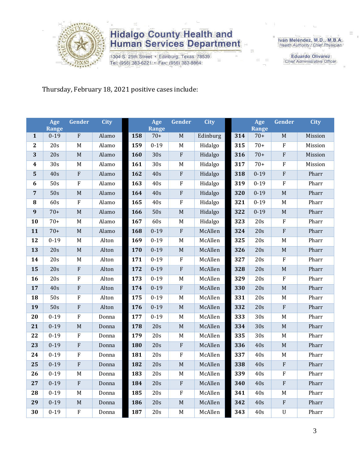

1304 S. 25th Street · Edinburg, Texas 78539 Tel: (956) 383-6221 · Fax: (956) 383-8864

Iván Meléndez, M.D., M.B.A. Health Authority / Chief Physician

> **Eduardo Olivarez** Chief Administrative Officer

Thursday, February 18, 2021 positive cases include:

|                         | Age                      | Gender                  | <b>City</b> |     | Age              | Gender                  | <b>City</b> |     | Age                   | Gender                    | <b>City</b> |
|-------------------------|--------------------------|-------------------------|-------------|-----|------------------|-------------------------|-------------|-----|-----------------------|---------------------------|-------------|
|                         | <b>Range</b><br>$0 - 19$ | $\overline{F}$          |             | 158 | Range<br>$70+$   | $\mathbf M$             |             | 314 | <b>Range</b><br>$70+$ | M                         | Mission     |
| $\mathbf{1}$            |                          |                         | Alamo       |     |                  |                         | Edinburg    |     |                       |                           |             |
| $\overline{2}$          | $\overline{20s}$         | $\mathbf M$             | Alamo       | 159 | $0 - 19$         | $\mathbf M$             | Hidalgo     | 315 | $70+$                 | $\rm F$                   | Mission     |
| 3                       | 20s                      | $\mathbf M$             | Alamo       | 160 | 30s              | $\rm F$                 | Hidalgo     | 316 | $70+$                 | ${\bf F}$                 | Mission     |
| $\boldsymbol{4}$        | 30s                      | $\mathbf M$             | Alamo       | 161 | 30s              | $\mathbf M$             | Hidalgo     | 317 | $70+$                 | $\rm F$                   | Mission     |
| $\overline{\mathbf{5}}$ | 40s                      | $\overline{\mathrm{F}}$ | Alamo       | 162 | 40s              | $\overline{\mathrm{F}}$ | Hidalgo     | 318 | $0 - 19$              | $\overline{\mathrm{F}}$   | Pharr       |
| $\boldsymbol{6}$        | 50s                      | ${\bf F}$               | Alamo       | 163 | 40s              | $\rm F$                 | Hidalgo     | 319 | $0 - 19$              | $\rm F$                   | Pharr       |
| $\overline{7}$          | 50s                      | $\mathbf M$             | Alamo       | 164 | 40s              | ${\bf F}$               | Hidalgo     | 320 | $0 - 19$              | M                         | Pharr       |
| ${\bf 8}$               | 60s                      | ${\bf F}$               | Alamo       | 165 | 40s              | $\rm F$                 | Hidalgo     | 321 | $0 - 19$              | $\mathbf M$               | Pharr       |
| 9                       | $70+$                    | M                       | Alamo       | 166 | 50s              | $\mathbf M$             | Hidalgo     | 322 | $0 - 19$              | M                         | Pharr       |
| 10                      | $70+$                    | $\mathbf M$             | Alamo       | 167 | 60s              | $\mathbf M$             | Hidalgo     | 323 | 20s                   | $\rm F$                   | Pharr       |
| 11                      | $70+$                    | $\mathbf M$             | Alamo       | 168 | $0 - 19$         | $\rm F$                 | McAllen     | 324 | 20s                   | ${\bf F}$                 | Pharr       |
| 12                      | $0 - 19$                 | $\mathbf M$             | Alton       | 169 | $0 - 19$         | $\mathbf M$             | McAllen     | 325 | 20s                   | M                         | Pharr       |
| 13                      | 20s                      | $\mathbf M$             | Alton       | 170 | $0 - 19$         | $\mathbf M$             | McAllen     | 326 | 20s                   | M                         | Pharr       |
| 14                      | 20s                      | $\mathbf M$             | Alton       | 171 | $0 - 19$         | $\rm F$                 | McAllen     | 327 | 20s                   | ${\bf F}$                 | Pharr       |
| 15                      | 20s                      | ${\bf F}$               | Alton       | 172 | $0 - 19$         | $\rm F$                 | McAllen     | 328 | 20s                   | M                         | Pharr       |
| 16                      | 20s                      | $\rm F$                 | Alton       | 173 | $0 - 19$         | $\mathbf M$             | McAllen     | 329 | 20s                   | ${\bf F}$                 | Pharr       |
| 17                      | 40s                      | $\overline{\mathrm{F}}$ | Alton       | 174 | $0 - 19$         | $\overline{F}$          | McAllen     | 330 | 20s                   | M                         | Pharr       |
| 18                      | 50s                      | ${\bf F}$               | Alton       | 175 | $0 - 19$         | $\mathbf M$             | McAllen     | 331 | 20s                   | M                         | Pharr       |
| 19                      | 50s                      | ${\bf F}$               | Alton       | 176 | $0 - 19$         | $\mathbf M$             | McAllen     | 332 | 20s                   | ${\bf F}$                 | Pharr       |
| 20                      | $0-19$                   | $\overline{\mathrm{F}}$ | Donna       | 177 | $0 - 19$         | $\mathbf M$             | McAllen     | 333 | 30s                   | M                         | Pharr       |
| 21                      | $0 - 19$                 | $\mathbf M$             | Donna       | 178 | 20s              | $\mathbf M$             | McAllen     | 334 | 30s                   | M                         | Pharr       |
| 22                      | $0 - 19$                 | ${\bf F}$               | Donna       | 179 | 20s              | $\mathbf M$             | McAllen     | 335 | 30s                   | M                         | Pharr       |
| 23                      | $0 - 19$                 | $\overline{\mathrm{F}}$ | Donna       | 180 | 20s              | $\rm F$                 | McAllen     | 336 | 40s                   | M                         | Pharr       |
| 24                      | $0 - 19$                 | ${\bf F}$               | Donna       | 181 | 20s              | $\rm F$                 | McAllen     | 337 | 40s                   | $\mathbf M$               | Pharr       |
| 25                      | $0 - 19$                 | $\overline{\mathrm{F}}$ | Donna       | 182 | $\overline{20s}$ | $\overline{\mathbf{M}}$ | McAllen     | 338 | 40s                   | ${\bf F}$                 | Pharr       |
| 26                      | $0 - 19$                 | M                       | Donna       | 183 | 20s              | $\mathbf M$             | McAllen     | 339 | 40s                   | ${\bf F}$                 | Pharr       |
| 27                      | $0 - 19$                 | ${\bf F}$               | Donna       | 184 | 20s              | $\rm F$                 | McAllen     | 340 | 40s                   | ${\bf F}$                 | Pharr       |
| 28                      | $0 - 19$                 | $\mathbf M$             | Donna       | 185 | 20s              | $\overline{F}$          | McAllen     | 341 | 40s                   | M                         | Pharr       |
| 29                      | $0 - 19$                 | $\mathbf M$             | Donna       | 186 | 20s              | $\mathbf M$             | McAllen     | 342 | 40s                   | ${\bf F}$                 | Pharr       |
| 30                      | $0 - 19$                 | $\rm F$                 | Donna       | 187 | 20s              | $\mathbf M$             | McAllen     | 343 | 40s                   | $\ensuremath{\mathsf{U}}$ | Pharr       |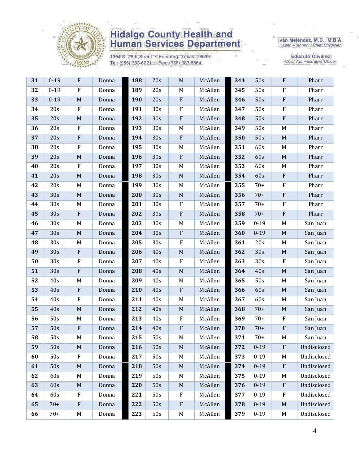

1304 S. 25th Street · Edinburg, Texas 78539 Tel: (956) 383-6221 · Fax: (956) 383-8864

Iván Meléndez, M.D., M.B.A.<br>Health Authority / Chief Physician

Eduardo Olivarez<br>Chief Administrative Officer

| 31 | $0 - 19$ | F                         | Donna | 188 | 20s             | $\mathbf M$               | McAllen | 344 | 50s      | ${\bf F}$                 | Pharr       |
|----|----------|---------------------------|-------|-----|-----------------|---------------------------|---------|-----|----------|---------------------------|-------------|
| 32 | $0 - 19$ | $\rm F$                   | Donna | 189 | 20s             | $M_{\odot}$               | McAllen | 345 | 50s      | $\rm F$                   | Pharr       |
| 33 | $0 - 19$ | $\mathbf M$               | Donna | 190 | 20s             | $\rm F$                   | McAllen | 346 | 50s      | $\rm F$                   | Pharr       |
| 34 | 20s      | $\rm F$                   | Donna | 191 | 30s             | F                         | McAllen | 347 | 50s      | $\rm F$                   | Pharr       |
| 35 | 20s      | $\mathbf M$               | Donna | 192 | 30s             | ${\bf F}$                 | McAllen | 348 | 50s      | $\rm F$                   | Pharr       |
| 36 | 20s      | $\rm F$                   | Donna | 193 | 30s             | $\mathbf M$               | McAllen | 349 | 50s      | M                         | Pharr       |
| 37 | 20s      | $\rm F$                   | Donna | 194 | 30s             | $\boldsymbol{\mathrm{F}}$ | McAllen | 350 | 50s      | $\mathbf M$               | Pharr       |
| 38 | 20s      | $\rm F$                   | Donna | 195 | 30s             | $\mathbf M$               | McAllen | 351 | 60s      | M                         | Pharr       |
| 39 | 20s      | $\mathbf M$               | Donna | 196 | 30s             | $\boldsymbol{\mathrm{F}}$ | McAllen | 352 | 60s      | $\mathbf M$               | Pharr       |
| 40 | 20s      | $\mathbf F$               | Donna | 197 | 30s             | M                         | McAllen | 353 | 60s      | M                         | Pharr       |
| 41 | 20s      | $\mathbf M$               | Donna | 198 | 30s             | $\mathbf M$               | McAllen | 354 | 60s      | $\boldsymbol{\mathrm{F}}$ | Pharr       |
| 42 | 20s      | M                         | Donna | 199 | 30 <sub>s</sub> | M                         | McAllen | 355 | $70+$    | $\rm F$                   | Pharr       |
| 43 | 30s      | $\mathbf M$               | Donna | 200 | 30s             | $\mathbf M$               | McAllen | 356 | $70+$    | $\rm F$                   | Pharr       |
| 44 | 30s      | M                         | Donna | 201 | 30 <sub>s</sub> | ${\bf F}$                 | McAllen | 357 | $70+$    | $\rm F$                   | Pharr       |
| 45 | 30s      | $\rm F$                   | Donna | 202 | 30s             | ${\bf F}$                 | McAllen | 358 | $70+$    | $\rm F$                   | Pharr       |
| 46 | 30s      | M                         | Donna | 203 | 30 <sub>s</sub> | $\mathbf M$               | McAllen | 359 | $0 - 19$ | M                         | San Juan    |
| 47 | 30s      | $\mathbf M$               | Donna | 204 | 30s             | ${\bf F}$                 | McAllen | 360 | $0 - 19$ | $\mathbf M$               | San Juan    |
| 48 | 30s      | M                         | Donna | 205 | 30 <sub>s</sub> | ${\bf F}$                 | McAllen | 361 | 20s      | M                         | San Juan    |
| 49 | 30s      | ${\bf F}$                 | Donna | 206 | 40s             | $\mathbf M$               | McAllen | 362 | 30s      | $\mathbf M$               | San Juan    |
| 50 | 30s      | ${\bf F}$                 | Donna | 207 | 40s             | $\rm F$                   | McAllen | 363 | 30s      | $\rm F$                   | San Juan    |
| 51 | 30s      | ${\bf F}$                 | Donna | 208 | 40s             | $\mathbf M$               | McAllen | 364 | 40s      | $\mathbf M$               | San Juan    |
| 52 | 40s      | M                         | Donna | 209 | 40s             | M                         | McAllen | 365 | 50s      | M                         | San Juan    |
| 53 | 40s      | $\rm F$                   | Donna | 210 | 40s             | ${\bf F}$                 | McAllen | 366 | 60s      | $\mathbf M$               | San Juan    |
| 54 | 40s      | ${\bf F}$                 | Donna | 211 | 40s             | M                         | McAllen | 367 | 60s      | M                         | San Juan    |
| 55 | 40s      | $\mathbf M$               | Donna | 212 | 40s             | $\mathbf M$               | McAllen | 368 | $70+$    | $\mathbf M$               | San Juan    |
| 56 | 50s      | M                         | Donna | 213 | 40s             | ${\bf F}$                 | McAllen | 369 | $70+$    | $\rm F$                   | San Juan    |
| 57 | 50s      | ${\bf F}$                 | Donna | 214 | 40s             | ${\bf F}$                 | McAllen | 370 | $70+$    | $\rm F$                   | San Juan    |
| 58 | 50s      | M                         | Donna | 215 | 50s             | M                         | McAllen | 371 | $70+$    | M                         | San Juan    |
| 59 | 50s      | M                         | Donna | 216 | 50s             | $M_{\odot}$               | McAllen | 372 | $0 - 19$ | $\mathbf{F}$              | Undisclosed |
| 60 | 50s      | $\mathbf{F}$              | Donna | 217 | 50s             | M                         | McAllen | 373 | $0 - 19$ | M                         | Undisclosed |
| 61 | 50s      | $\mathbf M$               | Donna | 218 | 50s             | $M_{\odot}$               | McAllen | 374 | $0 - 19$ | $\mathbf{F}$              | Undisclosed |
| 62 | 60s      | M                         | Donna | 219 | 50s             | $M_{\odot}$               | McAllen | 375 | $0 - 19$ | M                         | Undisclosed |
| 63 | 60s      | M                         | Donna | 220 | 50s             | $\mathbf M$               | McAllen | 376 | $0 - 19$ | $\rm F$                   | Undisclosed |
| 64 | 60s      | $\mathbf F$               | Donna | 221 | 50s             | F                         | McAllen | 377 | $0 - 19$ | $\mathbf{F}$              | Undisclosed |
| 65 | $70+$    | $\boldsymbol{\mathrm{F}}$ | Donna | 222 | 50s             | $\rm F$                   | McAllen | 378 | $0 - 19$ | M                         | Undisclosed |
| 66 | $70+$    | M                         | Donna | 223 | 50s             | $\mathbf M$               | McAllen | 379 | $0 - 19$ | M                         | Undisclosed |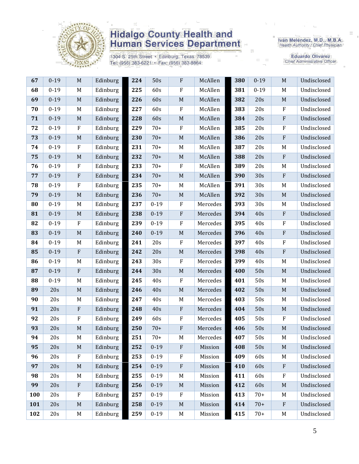

1304 S. 25th Street · Edinburg, Texas 78539 Tel: (956) 383-6221 · Fax: (956) 383-8864

Iván Meléndez, M.D., M.B.A.<br>Health Authority / Chief Physician

Eduardo Olivarez<br>Chief Administrative Officer

| 67  | $0 - 19$ | M           | Edinburg | 224 | 50s      | $\rm F$          | McAllen  | 380 | $0 - 19$ | $\mathbf M$               | Undisclosed |
|-----|----------|-------------|----------|-----|----------|------------------|----------|-----|----------|---------------------------|-------------|
| 68  | $0 - 19$ | M           | Edinburg | 225 | 60s      | $\rm F$          | McAllen  | 381 | $0 - 19$ | M                         | Undisclosed |
| 69  | $0 - 19$ | $\mathbf M$ | Edinburg | 226 | 60s      | $\mathbf M$      | McAllen  | 382 | 20s      | $\mathbf M$               | Undisclosed |
| 70  | $0 - 19$ | M           | Edinburg | 227 | 60s      | $\rm F$          | McAllen  | 383 | 20s      | $\boldsymbol{\mathrm{F}}$ | Undisclosed |
| 71  | $0 - 19$ | $\mathbf M$ | Edinburg | 228 | 60s      | $\mathbf M$      | McAllen  | 384 | 20s      | ${\bf F}$                 | Undisclosed |
| 72  | $0 - 19$ | $\rm F$     | Edinburg | 229 | $70+$    | $\rm F$          | McAllen  | 385 | 20s      | $\rm F$                   | Undisclosed |
| 73  | $0 - 19$ | $\mathbf M$ | Edinburg | 230 | $70+$    | $\mathbf M$      | McAllen  | 386 | 20s      | $\rm F$                   | Undisclosed |
| 74  | $0 - 19$ | $\rm F$     | Edinburg | 231 | $70+$    | M                | McAllen  | 387 | 20s      | M                         | Undisclosed |
| 75  | $0 - 19$ | $\mathbf M$ | Edinburg | 232 | $70+$    | $\mathbf M$      | McAllen  | 388 | 20s      | ${\bf F}$                 | Undisclosed |
| 76  | $0 - 19$ | $\rm F$     | Edinburg | 233 | $70+$    | $\rm F$          | McAllen  | 389 | 20s      | M                         | Undisclosed |
| 77  | $0 - 19$ | $\rm F$     | Edinburg | 234 | $70+$    | $\mathbf M$      | McAllen  | 390 | 30s      | $\rm F$                   | Undisclosed |
| 78  | $0 - 19$ | ${\bf F}$   | Edinburg | 235 | $70+$    | M                | McAllen  | 391 | 30s      | M                         | Undisclosed |
| 79  | $0 - 19$ | $\mathbf M$ | Edinburg | 236 | $70+$    | $\mathbf M$      | McAllen  | 392 | 30s      | $\mathbf M$               | Undisclosed |
| 80  | $0 - 19$ | M           | Edinburg | 237 | $0 - 19$ | $\mathbf F$      | Mercedes | 393 | 30s      | M                         | Undisclosed |
| 81  | $0 - 19$ | $\mathbf M$ | Edinburg | 238 | $0 - 19$ | $\rm F$          | Mercedes | 394 | 40s      | $\rm F$                   | Undisclosed |
| 82  | $0 - 19$ | $\rm F$     | Edinburg | 239 | $0 - 19$ | $\rm F$          | Mercedes | 395 | 40s      | $\mathbf{F}$              | Undisclosed |
| 83  | $0 - 19$ | M           | Edinburg | 240 | $0 - 19$ | $\mathbf M$      | Mercedes | 396 | 40s      | $\rm F$                   | Undisclosed |
| 84  | $0 - 19$ | M           | Edinburg | 241 | 20s      | $\rm F$          | Mercedes | 397 | 40s      | $\rm F$                   | Undisclosed |
| 85  | $0 - 19$ | $\rm F$     | Edinburg | 242 | 20s      | $\mathbf M$      | Mercedes | 398 | 40s      | ${\bf F}$                 | Undisclosed |
| 86  | $0 - 19$ | M           | Edinburg | 243 | 30s      | $\rm F$          | Mercedes | 399 | 40s      | M                         | Undisclosed |
| 87  | $0 - 19$ | $\rm F$     | Edinburg | 244 | 30s      | $\mathbf M$      | Mercedes | 400 | 50s      | $\mathbf M$               | Undisclosed |
| 88  | $0 - 19$ | $M_{\odot}$ | Edinburg | 245 | 40s      | $\rm F$          | Mercedes | 401 | 50s      | M                         | Undisclosed |
| 89  | 20s      | $\mathbf M$ | Edinburg | 246 | 40s      | $\mathbf M$      | Mercedes | 402 | 50s      | $\mathbf M$               | Undisclosed |
| 90  | 20s      | M           | Edinburg | 247 | 40s      | M                | Mercedes | 403 | 50s      | M                         | Undisclosed |
| 91  | 20s      | ${\bf F}$   | Edinburg | 248 | 40s      | $\rm F$          | Mercedes | 404 | 50s      | $\mathbf M$               | Undisclosed |
| 92  | 20s      | $\rm F$     | Edinburg | 249 | 60s      | $\rm F$          | Mercedes | 405 | 50s      | $\rm F$                   | Undisclosed |
| 93  | 20s      | $\mathbf M$ | Edinburg | 250 | $70+$    | ${\bf F}$        | Mercedes | 406 | 50s      | $\mathbf M$               | Undisclosed |
| 94  | 20s      | M           | Edinburg | 251 | $70+$    | M                | Mercedes | 407 | 50s      | M                         | Undisclosed |
| 95  | 20s      | $\mathbf M$ | Edinburg | 252 | $0 - 19$ | $\rm F$          | Mission  | 408 | 50s      | $\mathbf M$               | Undisclosed |
| 96  | 20s      | ${\bf F}$   | Edinburg | 253 | $0 - 19$ | $\rm F$          | Mission  | 409 | 60s      | M                         | Undisclosed |
| 97  | 20s      | M           | Edinburg | 254 | $0 - 19$ | $\rm F$          | Mission  | 410 | 60s      | $\mathbf{F}$              | Undisclosed |
| 98  | 20s      | M           | Edinburg | 255 | $0 - 19$ | M                | Mission  | 411 | 60s      | $\boldsymbol{\mathrm{F}}$ | Undisclosed |
| 99  | 20s      | ${\bf F}$   | Edinburg | 256 | $0 - 19$ | $\mathbf M$      | Mission  | 412 | 60s      | $\mathbf M$               | Undisclosed |
| 100 | 20s      | $\rm F$     | Edinburg | 257 | $0 - 19$ | $\boldsymbol{F}$ | Mission  | 413 | $70+$    | M                         | Undisclosed |
| 101 | 20s      | M           | Edinburg | 258 | $0 - 19$ | $\mathbf M$      | Mission  | 414 | $70+$    | $\rm F$                   | Undisclosed |
| 102 | 20s      | M           | Edinburg | 259 | $0 - 19$ | $\mathbf M$      | Mission  | 415 | $70+$    | M                         | Undisclosed |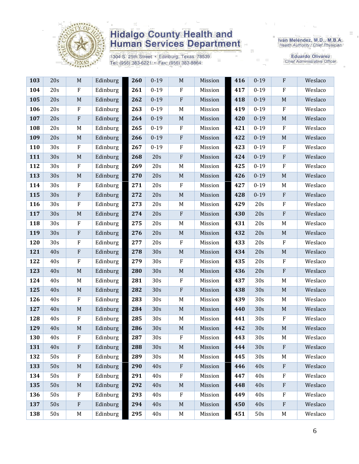

1304 S. 25th Street · Edinburg, Texas 78539 Tel: (956) 383-6221 · Fax: (956) 383-8864

Iván Meléndez, M.D., M.B.A.<br>Health Authority / Chief Physician

Eduardo Olivarez<br>Chief Administrative Officer

| 103 | 20s | $\mathbf M$ | Edinburg | 260 | $0 - 19$ | $\mathbf M$               | Mission | 416 | $0 - 19$ | $\rm F$                   | Weslaco |
|-----|-----|-------------|----------|-----|----------|---------------------------|---------|-----|----------|---------------------------|---------|
| 104 | 20s | ${\bf F}$   | Edinburg | 261 | $0 - 19$ | $\rm F$                   | Mission | 417 | $0 - 19$ | ${\bf F}$                 | Weslaco |
| 105 | 20s | $\mathbf M$ | Edinburg | 262 | $0 - 19$ | $\rm F$                   | Mission | 418 | $0 - 19$ | $\mathbf M$               | Weslaco |
| 106 | 20s | $\rm F$     | Edinburg | 263 | $0 - 19$ | $\mathbf M$               | Mission | 419 | $0 - 19$ | $\rm F$                   | Weslaco |
| 107 | 20s | ${\bf F}$   | Edinburg | 264 | $0 - 19$ | $\mathbf M$               | Mission | 420 | $0 - 19$ | $\mathbf M$               | Weslaco |
| 108 | 20s | M           | Edinburg | 265 | $0 - 19$ | $\boldsymbol{F}$          | Mission | 421 | $0 - 19$ | $\mathbf F$               | Weslaco |
| 109 | 20s | $\mathbf M$ | Edinburg | 266 | $0 - 19$ | $\rm F$                   | Mission | 422 | $0 - 19$ | $\mathbf M$               | Weslaco |
| 110 | 30s | $\rm F$     | Edinburg | 267 | $0 - 19$ | $\rm F$                   | Mission | 423 | $0 - 19$ | ${\bf F}$                 | Weslaco |
| 111 | 30s | $\mathbf M$ | Edinburg | 268 | 20s      | $\rm F$                   | Mission | 424 | $0 - 19$ | $\rm F$                   | Weslaco |
| 112 | 30s | ${\bf F}$   | Edinburg | 269 | 20s      | $M_{\odot}$               | Mission | 425 | $0 - 19$ | ${\bf F}$                 | Weslaco |
| 113 | 30s | $\mathbf M$ | Edinburg | 270 | 20s      | $M_{\odot}$               | Mission | 426 | $0 - 19$ | $\mathbf M$               | Weslaco |
| 114 | 30s | ${\bf F}$   | Edinburg | 271 | 20s      | $\rm F$                   | Mission | 427 | $0 - 19$ | M                         | Weslaco |
| 115 | 30s | ${\bf F}$   | Edinburg | 272 | 20s      | $\mathbf M$               | Mission | 428 | $0 - 19$ | ${\bf F}$                 | Weslaco |
| 116 | 30s | F           | Edinburg | 273 | 20s      | $M_{\odot}$               | Mission | 429 | 20s      | ${\bf F}$                 | Weslaco |
| 117 | 30s | $\mathbf M$ | Edinburg | 274 | 20s      | $\rm F$                   | Mission | 430 | 20s      | $\rm F$                   | Weslaco |
| 118 | 30s | F           | Edinburg | 275 | 20s      | $\mathbf M$               | Mission | 431 | 20s      | M                         | Weslaco |
| 119 | 30s | ${\bf F}$   | Edinburg | 276 | 20s      | $\mathbf M$               | Mission | 432 | 20s      | $\mathbf M$               | Weslaco |
| 120 | 30s | ${\bf F}$   | Edinburg | 277 | 20s      | $\rm F$                   | Mission | 433 | 20s      | $\rm F$                   | Weslaco |
| 121 | 40s | $\rm F$     | Edinburg | 278 | 30s      | $\mathbf M$               | Mission | 434 | 20s      | $\mathbf M$               | Weslaco |
| 122 | 40s | $\rm F$     | Edinburg | 279 | 30s      | ${\bf F}$                 | Mission | 435 | 20s      | ${\bf F}$                 | Weslaco |
| 123 | 40s | $\mathbf M$ | Edinburg | 280 | 30s      | $\mathbf M$               | Mission | 436 | 20s      | $\rm F$                   | Weslaco |
| 124 | 40s | M           | Edinburg | 281 | 30s      | $\rm F$                   | Mission | 437 | 30s      | M                         | Weslaco |
| 125 | 40s | M           | Edinburg | 282 | 30s      | $\rm F$                   | Mission | 438 | 30s      | $\mathbf M$               | Weslaco |
| 126 | 40s | ${\bf F}$   | Edinburg | 283 | 30s      | $M_{\odot}$               | Mission | 439 | 30s      | M                         | Weslaco |
| 127 | 40s | $\mathbf M$ | Edinburg | 284 | 30s      | $\mathbf M$               | Mission | 440 | 30s      | $\mathbf M$               | Weslaco |
| 128 | 40s | ${\bf F}$   | Edinburg | 285 | 30s      | $M_{\odot}$               | Mission | 441 | 30s      | ${\bf F}$                 | Weslaco |
| 129 | 40s | $\mathbf M$ | Edinburg | 286 | 30s      | $\mathbf M$               | Mission | 442 | 30s      | $\mathbf M$               | Weslaco |
| 130 | 40s | ${\bf F}$   | Edinburg | 287 | 30s      | ${\bf F}$                 | Mission | 443 | 30s      | $\mathbf M$               | Weslaco |
| 131 | 40s | F           | Edinburg | 288 | 30s      | $\mathbf M$               | Mission | 444 | 30s      | ${\bf F}$                 | Weslaco |
| 132 | 50s | ${\bf F}$   | Edinburg | 289 | 30s      | M                         | Mission | 445 | 30s      | M                         | Weslaco |
| 133 | 50s | $\mathbf M$ | Edinburg | 290 | 40s      | $\boldsymbol{\mathrm{F}}$ | Mission | 446 | 40s      | ${\bf F}$                 | Weslaco |
| 134 | 50s | ${\bf F}$   | Edinburg | 291 | 40s      | $\rm F$                   | Mission | 447 | 40s      | F                         | Weslaco |
| 135 | 50s | M           | Edinburg | 292 | 40s      | $\mathbf M$               | Mission | 448 | 40s      | $\boldsymbol{\mathrm{F}}$ | Weslaco |
| 136 | 50s | F           | Edinburg | 293 | 40s      | $\boldsymbol{F}$          | Mission | 449 | 40s      | F                         | Weslaco |
| 137 | 50s | ${\bf F}$   | Edinburg | 294 | 40s      | $\mathbf M$               | Mission | 450 | 40s      | $\boldsymbol{\mathrm{F}}$ | Weslaco |
| 138 | 50s | M           | Edinburg | 295 | 40s      | M                         | Mission | 451 | 50s      | M                         | Weslaco |